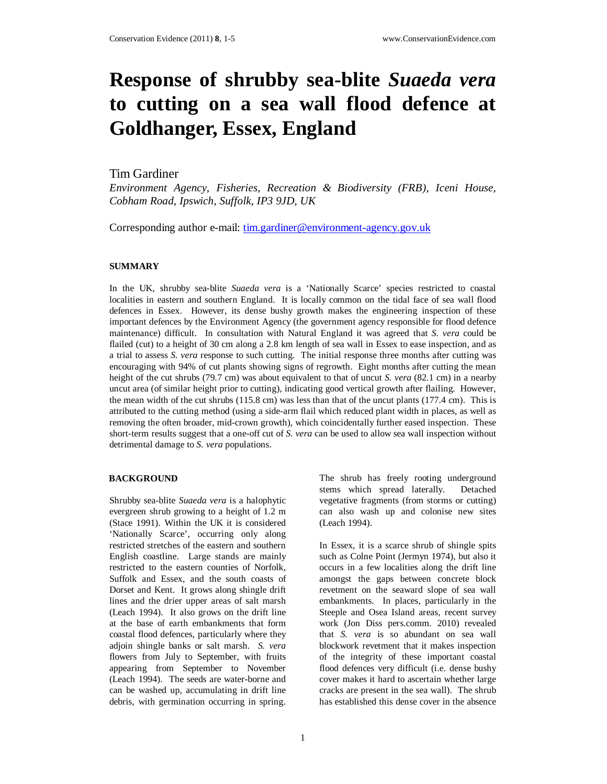# **Response of shrubby sea-blite** *Suaeda vera* **to cutting on a sea wall flood defence at Goldhanger, Essex, England**

## Tim Gardiner

*Environment Agency, Fisheries, Recreation & Biodiversity (FRB), Iceni House, Cobham Road, Ipswich, Suffolk, IP3 9JD, UK* 

Corresponding author e-mail: tim.gardiner@environment-agency.gov.uk

#### **SUMMARY**

In the UK, shrubby sea-blite *Suaeda vera* is a 'Nationally Scarce' species restricted to coastal localities in eastern and southern England. It is locally common on the tidal face of sea wall flood defences in Essex. However, its dense bushy growth makes the engineering inspection of these important defences by the Environment Agency (the government agency responsible for flood defence maintenance) difficult. In consultation with Natural England it was agreed that *S. vera* could be flailed (cut) to a height of 30 cm along a 2.8 km length of sea wall in Essex to ease inspection, and as a trial to assess *S. vera* response to such cutting. The initial response three months after cutting was encouraging with 94% of cut plants showing signs of regrowth. Eight months after cutting the mean height of the cut shrubs (79.7 cm) was about equivalent to that of uncut *S. vera* (82.1 cm) in a nearby uncut area (of similar height prior to cutting), indicating good vertical growth after flailing. However, the mean width of the cut shrubs (115.8 cm) was less than that of the uncut plants (177.4 cm). This is attributed to the cutting method (using a side-arm flail which reduced plant width in places, as well as removing the often broader, mid-crown growth), which coincidentally further eased inspection. These short-term results suggest that a one-off cut of *S. vera* can be used to allow sea wall inspection without detrimental damage to *S. vera* populations.

#### **BACKGROUND**

Shrubby sea-blite *Suaeda vera* is a halophytic evergreen shrub growing to a height of 1.2 m (Stace 1991). Within the UK it is considered 'Nationally Scarce', occurring only along restricted stretches of the eastern and southern English coastline. Large stands are mainly restricted to the eastern counties of Norfolk, Suffolk and Essex, and the south coasts of Dorset and Kent. It grows along shingle drift lines and the drier upper areas of salt marsh (Leach 1994). It also grows on the drift line at the base of earth embankments that form coastal flood defences, particularly where they adjoin shingle banks or salt marsh. *S. vera* flowers from July to September, with fruits appearing from September to November (Leach 1994). The seeds are water-borne and can be washed up, accumulating in drift line debris, with germination occurring in spring.

The shrub has freely rooting underground stems which spread laterally. Detached vegetative fragments (from storms or cutting) can also wash up and colonise new sites (Leach 1994).

In Essex, it is a scarce shrub of shingle spits such as Colne Point (Jermyn 1974), but also it occurs in a few localities along the drift line amongst the gaps between concrete block revetment on the seaward slope of sea wall embankments. In places, particularly in the Steeple and Osea Island areas, recent survey work (Jon Diss pers.comm. 2010) revealed that *S. vera* is so abundant on sea wall blockwork revetment that it makes inspection of the integrity of these important coastal flood defences very difficult (i.e. dense bushy cover makes it hard to ascertain whether large cracks are present in the sea wall). The shrub has established this dense cover in the absence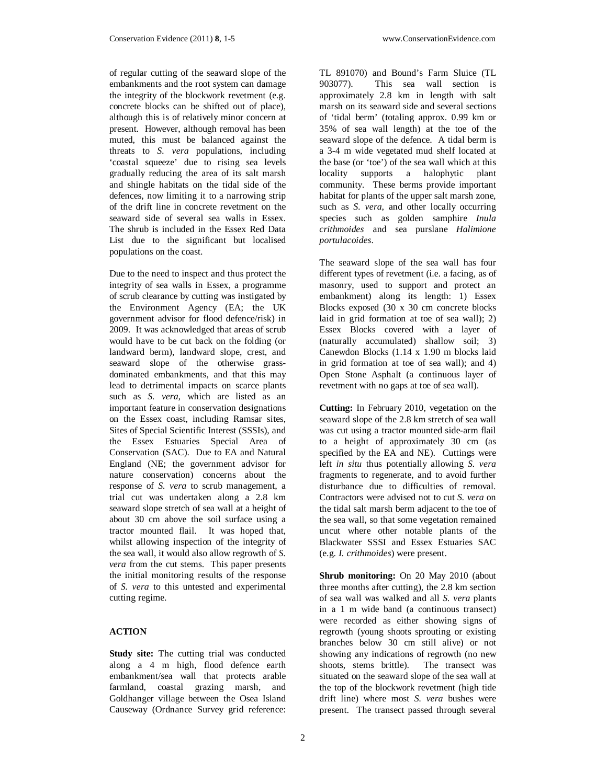of regular cutting of the seaward slope of the embankments and the root system can damage the integrity of the blockwork revetment (e.g. concrete blocks can be shifted out of place), although this is of relatively minor concern at present. However, although removal has been muted, this must be balanced against the threats to *S. vera* populations, including 'coastal squeeze' due to rising sea levels gradually reducing the area of its salt marsh and shingle habitats on the tidal side of the defences, now limiting it to a narrowing strip of the drift line in concrete revetment on the seaward side of several sea walls in Essex. The shrub is included in the Essex Red Data List due to the significant but localised populations on the coast.

Due to the need to inspect and thus protect the integrity of sea walls in Essex, a programme of scrub clearance by cutting was instigated by the Environment Agency (EA; the UK government advisor for flood defence/risk) in 2009. It was acknowledged that areas of scrub would have to be cut back on the folding (or landward berm), landward slope, crest, and seaward slope of the otherwise grassdominated embankments, and that this may lead to detrimental impacts on scarce plants such as *S. vera*, which are listed as an important feature in conservation designations on the Essex coast, including Ramsar sites, Sites of Special Scientific Interest (SSSIs), and the Essex Estuaries Special Area of Conservation (SAC). Due to EA and Natural England (NE; the government advisor for nature conservation) concerns about the response of *S. vera* to scrub management, a trial cut was undertaken along a 2.8 km seaward slope stretch of sea wall at a height of about 30 cm above the soil surface using a tractor mounted flail. It was hoped that, whilst allowing inspection of the integrity of the sea wall, it would also allow regrowth of *S. vera* from the cut stems. This paper presents the initial monitoring results of the response of *S. vera* to this untested and experimental cutting regime.

## **ACTION**

**Study site:** The cutting trial was conducted along a 4 m high, flood defence earth embankment/sea wall that protects arable farmland, coastal grazing marsh, and Goldhanger village between the Osea Island Causeway (Ordnance Survey grid reference:

TL 891070) and Bound's Farm Sluice (TL 903077). This sea wall section is approximately 2.8 km in length with salt marsh on its seaward side and several sections of 'tidal berm' (totaling approx. 0.99 km or 35% of sea wall length) at the toe of the seaward slope of the defence. A tidal berm is a 3-4 m wide vegetated mud shelf located at the base (or 'toe') of the sea wall which at this locality supports a halophytic plant community. These berms provide important habitat for plants of the upper salt marsh zone, such as *S. vera*, and other locally occurring species such as golden samphire *Inula crithmoides* and sea purslane *Halimione portulacoides*.

The seaward slope of the sea wall has four different types of revetment (i.e. a facing, as of masonry, used to support and protect an embankment) along its length: 1) Essex Blocks exposed (30 x 30 cm concrete blocks laid in grid formation at toe of sea wall); 2) Essex Blocks covered with a layer of (naturally accumulated) shallow soil; 3) Canewdon Blocks (1.14 x 1.90 m blocks laid in grid formation at toe of sea wall); and 4) Open Stone Asphalt (a continuous layer of revetment with no gaps at toe of sea wall).

**Cutting:** In February 2010, vegetation on the seaward slope of the 2.8 km stretch of sea wall was cut using a tractor mounted side-arm flail to a height of approximately 30 cm (as specified by the EA and NE). Cuttings were left *in situ* thus potentially allowing *S. vera* fragments to regenerate, and to avoid further disturbance due to difficulties of removal. Contractors were advised not to cut *S. vera* on the tidal salt marsh berm adjacent to the toe of the sea wall, so that some vegetation remained uncut where other notable plants of the Blackwater SSSI and Essex Estuaries SAC (e.g. *I. crithmoides*) were present.

**Shrub monitoring:** On 20 May 2010 (about three months after cutting), the 2.8 km section of sea wall was walked and all *S. vera* plants in a 1 m wide band (a continuous transect) were recorded as either showing signs of regrowth (young shoots sprouting or existing branches below 30 cm still alive) or not showing any indications of regrowth (no new shoots, stems brittle). The transect was situated on the seaward slope of the sea wall at the top of the blockwork revetment (high tide drift line) where most *S. vera* bushes were present. The transect passed through several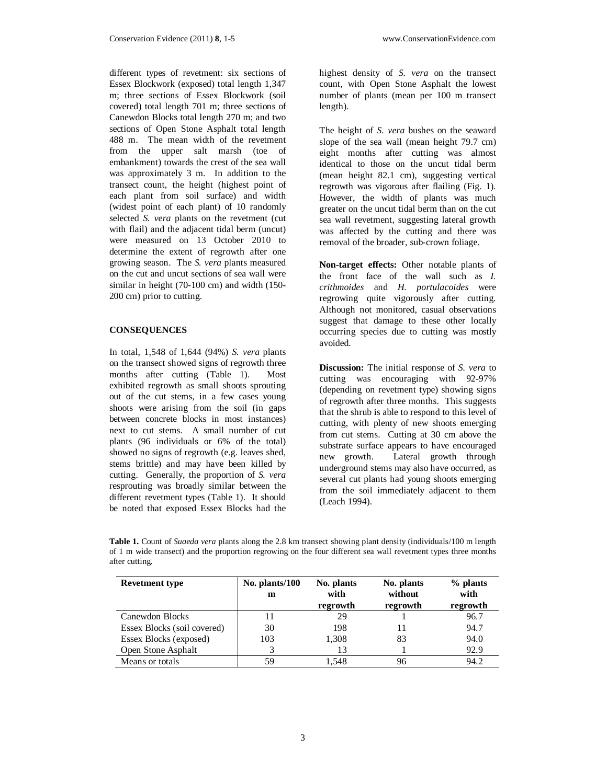different types of revetment: six sections of Essex Blockwork (exposed) total length 1,347 m; three sections of Essex Blockwork (soil covered) total length 701 m; three sections of Canewdon Blocks total length 270 m; and two sections of Open Stone Asphalt total length 488 m. The mean width of the revetment from the upper salt marsh (toe of embankment) towards the crest of the sea wall was approximately 3 m. In addition to the transect count, the height (highest point of each plant from soil surface) and width (widest point of each plant) of 10 randomly selected *S. vera* plants on the revetment (cut with flail) and the adjacent tidal berm (uncut) were measured on 13 October 2010 to determine the extent of regrowth after one growing season. The *S. vera* plants measured on the cut and uncut sections of sea wall were similar in height (70-100 cm) and width (150- 200 cm) prior to cutting.

#### **CONSEQUENCES**

In total, 1,548 of 1,644 (94%) *S. vera* plants on the transect showed signs of regrowth three months after cutting (Table 1). Most exhibited regrowth as small shoots sprouting out of the cut stems, in a few cases young shoots were arising from the soil (in gaps between concrete blocks in most instances) next to cut stems. A small number of cut plants (96 individuals or 6% of the total) showed no signs of regrowth (e.g. leaves shed, stems brittle) and may have been killed by cutting. Generally, the proportion of *S. vera*  resprouting was broadly similar between the different revetment types (Table 1). It should be noted that exposed Essex Blocks had the

highest density of *S. vera* on the transect count, with Open Stone Asphalt the lowest number of plants (mean per 100 m transect length).

The height of *S. vera* bushes on the seaward slope of the sea wall (mean height 79.7 cm) eight months after cutting was almost identical to those on the uncut tidal berm (mean height 82.1 cm), suggesting vertical regrowth was vigorous after flailing (Fig. 1). However, the width of plants was much greater on the uncut tidal berm than on the cut sea wall revetment, suggesting lateral growth was affected by the cutting and there was removal of the broader, sub-crown foliage.

**Non-target effects:** Other notable plants of the front face of the wall such as *I. crithmoides* and *H. portulacoides* were regrowing quite vigorously after cutting. Although not monitored, casual observations suggest that damage to these other locally occurring species due to cutting was mostly avoided.

**Discussion:** The initial response of *S. vera* to cutting was encouraging with 92-97% (depending on revetment type) showing signs of regrowth after three months. This suggests that the shrub is able to respond to this level of cutting, with plenty of new shoots emerging from cut stems. Cutting at 30 cm above the substrate surface appears to have encouraged new growth. Lateral growth through underground stems may also have occurred, as several cut plants had young shoots emerging from the soil immediately adjacent to them (Leach 1994).

| <b>Revetment type</b>       | No. plants/100<br>m | No. plants<br>with<br>regrowth | No. plants<br>without<br>regrowth | % plants<br>with<br>regrowth |
|-----------------------------|---------------------|--------------------------------|-----------------------------------|------------------------------|
| Canewdon Blocks             | 11                  | 29                             |                                   | 96.7                         |
| Essex Blocks (soil covered) | 30                  | 198                            |                                   | 94.7                         |
| Essex Blocks (exposed)      | 103                 | 1,308                          | 83                                | 94.0                         |
| Open Stone Asphalt          |                     | 13                             |                                   | 92.9                         |
| Means or totals             | 59                  | 1.548                          | 96                                | 94.2                         |

**Table 1.** Count of *Suaeda vera* plants along the 2.8 km transect showing plant density (individuals/100 m length of 1 m wide transect) and the proportion regrowing on the four different sea wall revetment types three months after cutting.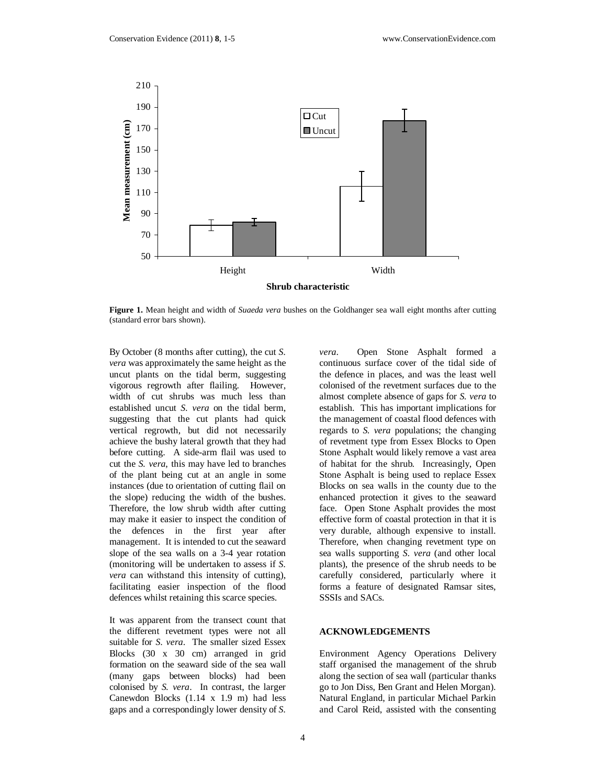

**Figure 1.** Mean height and width of *Suaeda vera* bushes on the Goldhanger sea wall eight months after cutting (standard error bars shown).

By October (8 months after cutting), the cut *S. vera* was approximately the same height as the uncut plants on the tidal berm, suggesting vigorous regrowth after flailing. However, width of cut shrubs was much less than established uncut *S. vera* on the tidal berm, suggesting that the cut plants had quick vertical regrowth, but did not necessarily achieve the bushy lateral growth that they had before cutting. A side-arm flail was used to cut the *S. vera*, this may have led to branches of the plant being cut at an angle in some instances (due to orientation of cutting flail on the slope) reducing the width of the bushes. Therefore, the low shrub width after cutting may make it easier to inspect the condition of the defences in the first year after management. It is intended to cut the seaward slope of the sea walls on a 3-4 year rotation (monitoring will be undertaken to assess if *S. vera* can withstand this intensity of cutting), facilitating easier inspection of the flood defences whilst retaining this scarce species.

It was apparent from the transect count that the different revetment types were not all suitable for *S. vera*. The smaller sized Essex Blocks (30 x 30 cm) arranged in grid formation on the seaward side of the sea wall (many gaps between blocks) had been colonised by *S. vera*. In contrast, the larger Canewdon Blocks (1.14 x 1.9 m) had less gaps and a correspondingly lower density of *S.* 

*vera*. Open Stone Asphalt formed a continuous surface cover of the tidal side of the defence in places, and was the least well colonised of the revetment surfaces due to the almost complete absence of gaps for *S. vera* to establish. This has important implications for the management of coastal flood defences with regards to *S. vera* populations; the changing of revetment type from Essex Blocks to Open Stone Asphalt would likely remove a vast area of habitat for the shrub. Increasingly, Open Stone Asphalt is being used to replace Essex Blocks on sea walls in the county due to the enhanced protection it gives to the seaward face. Open Stone Asphalt provides the most effective form of coastal protection in that it is very durable, although expensive to install. Therefore, when changing revetment type on sea walls supporting *S. vera* (and other local plants), the presence of the shrub needs to be carefully considered, particularly where it forms a feature of designated Ramsar sites, SSSIs and SACs.

#### **ACKNOWLEDGEMENTS**

Environment Agency Operations Delivery staff organised the management of the shrub along the section of sea wall (particular thanks go to Jon Diss, Ben Grant and Helen Morgan). Natural England, in particular Michael Parkin and Carol Reid, assisted with the consenting